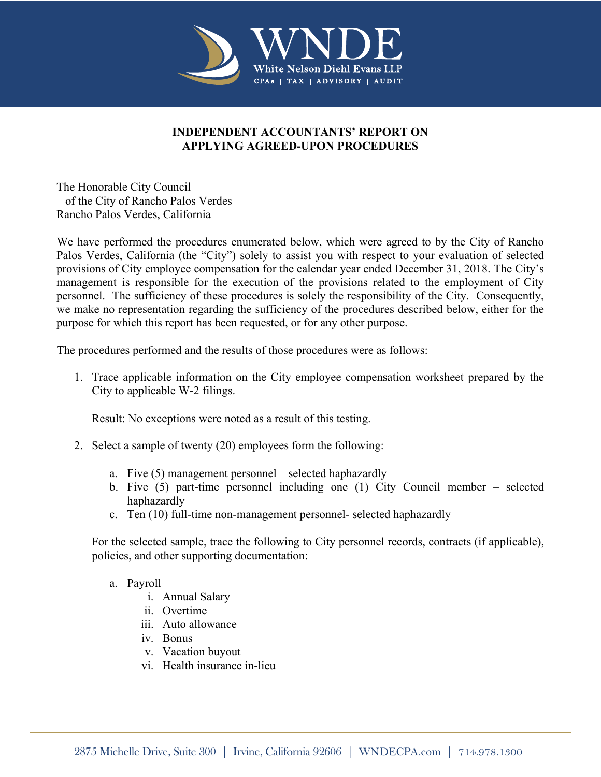

## **INDEPENDENT ACCOUNTANTS' REPORT ON APPLYING AGREED-UPON PROCEDURES**

The Honorable City Council of the City of Rancho Palos Verdes Rancho Palos Verdes, California

We have performed the procedures enumerated below, which were agreed to by the City of Rancho Palos Verdes, California (the "City") solely to assist you with respect to your evaluation of selected provisions of City employee compensation for the calendar year ended December 31, 2018. The City's management is responsible for the execution of the provisions related to the employment of City personnel. The sufficiency of these procedures is solely the responsibility of the City. Consequently, we make no representation regarding the sufficiency of the procedures described below, either for the purpose for which this report has been requested, or for any other purpose.

The procedures performed and the results of those procedures were as follows:

1. Trace applicable information on the City employee compensation worksheet prepared by the City to applicable W-2 filings.

Result: No exceptions were noted as a result of this testing.

- 2. Select a sample of twenty (20) employees form the following:
	- a. Five (5) management personnel selected haphazardly
	- b. Five (5) part-time personnel including one (1) City Council member selected haphazardly
	- c. Ten (10) full-time non-management personnel- selected haphazardly

For the selected sample, trace the following to City personnel records, contracts (if applicable), policies, and other supporting documentation:

## a. Payroll

- i. Annual Salary
- ii. Overtime
- iii. Auto allowance
- iv. Bonus
- v. Vacation buyout
- vi. Health insurance in-lieu